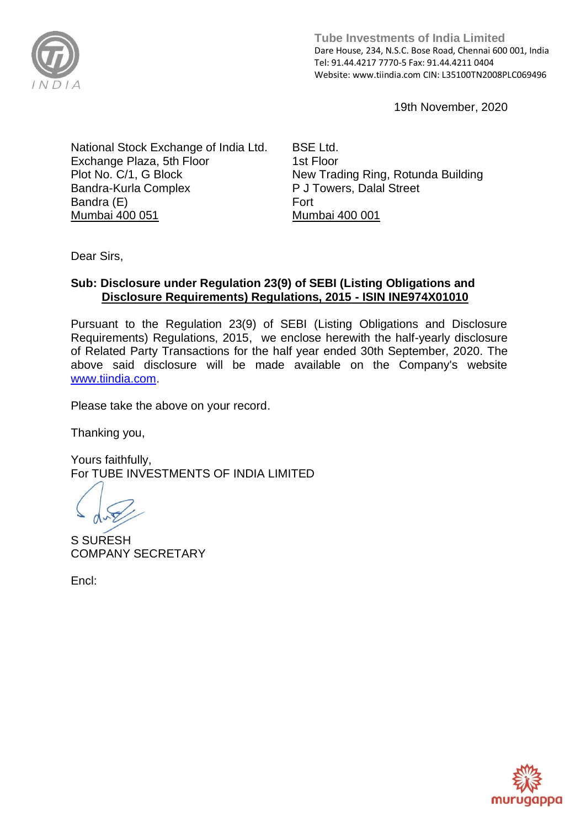

**Tube Investments of India Limited**  Dare House, 234, N.S.C. Bose Road, Chennai 600 001, India Tel: 91.44.4217 7770-5 Fax: 91.44.4211 0404 Website: www.tiindia.com CIN: L35100TN2008PLC069496

19th November, 2020

National Stock Exchange of India Ltd. Exchange Plaza, 5th Floor Plot No. C/1, G Block Bandra-Kurla Complex Bandra (E) Mumbai 400 051

BSE Ltd. 1st Floor New Trading Ring, Rotunda Building P J Towers, Dalal Street Fort Mumbai 400 001

Dear Sirs,

## **Sub: Disclosure under Regulation 23(9) of SEBI (Listing Obligations and Disclosure Requirements) Regulations, 2015 - ISIN INE974X01010**

Pursuant to the Regulation 23(9) of SEBI (Listing Obligations and Disclosure Requirements) Regulations, 2015, we enclose herewith the half-yearly disclosure of Related Party Transactions for the half year ended 30th September, 2020. The above said disclosure will be made available on the Company's website [www.tiindia.com.](http://www.tiindia.com/)

Please take the above on your record.

Thanking you,

Yours faithfully, For TUBE INVESTMENTS OF INDIA LIMITED

S SURESH COMPANY SECRETARY

Encl:

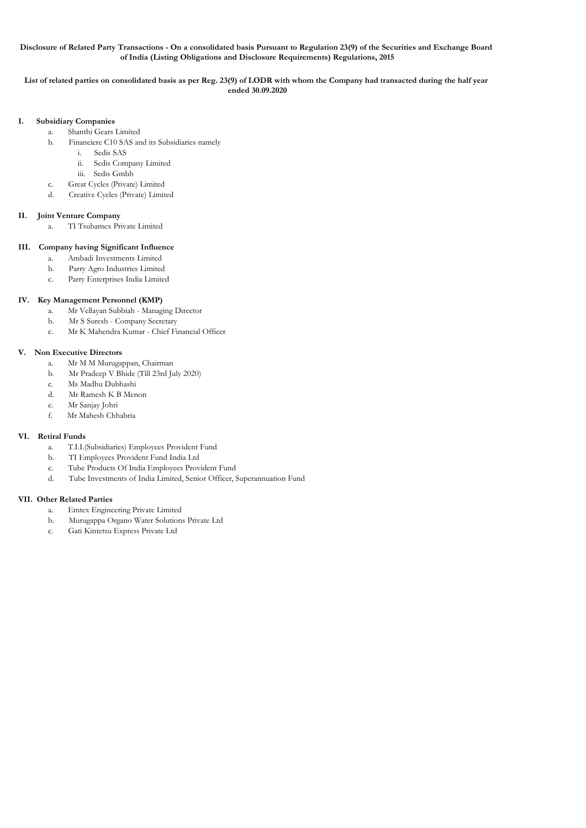#### **Disclosure of Related Party Transactions - On a consolidated basis Pursuant to Regulation 23(9) of the Securities and Exchange Board of India (Listing Obligations and Disclosure Requirements) Regulations, 2015**

#### **List of related parties on consolidated basis as per Reg. 23(9) of LODR with whom the Company had transacted during the half year ended 30.09.2020**

#### **I. Subsidiary Companies**

- a. Shanthi Gears Limited
- b. Financiere C10 SAS and its Subsidiaries namely
	- i. Sedis SAS
	- ii. Sedis Company Limited
	- iii. Sedis Gmbh
- c. Great Cycles (Private) Limited
- d. Creative Cycles (Private) Limited

### **II. Joint Venture Company**

a. TI Tsubamex Private Limited

### **III. Company having Significant Influence**

- a. Ambadi Investments Limited
- b. Parry Agro Industries Limited
- c. Parry Enterprises India Limited

### **IV. Key Management Personnel (KMP)**

- a. Mr Vellayan Subbiah Managing Director
- b. Mr S Suresh Company Secretary
- c. Mr K Mahendra Kumar Chief Financial Officer

### **V. Non Executive Directors**

- a. Mr M M Murugappan, Chairman
- b. Mr Pradeep V Bhide (Till 23rd July 2020)
- c. Ms Madhu Dubhashi
- d. Mr Ramesh K B Menon
- e. Mr Sanjay Johri
- f. Mr Mahesh Chhabria

## **VI. Retiral Funds**

- a. T.I.I.(Subsidiaries) Employees Provident Fund
- b. TI Employees Provident Fund India Ltd
- c. Tube Products Of India Employees Provident Fund
- d. Tube Investments of India Limited, Senior Officer, Superannuation Fund

#### **VII. Other Related Parties**

- a. Emtex Engineering Private Limited
- b. Murugappa Organo Water Solutions Private Ltd
- c. Gati Kintetsu Express Private Ltd